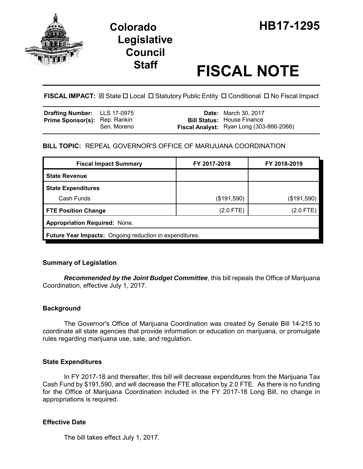

# **Legislative Council**

## **Staff FISCAL NOTE**

#### **FISCAL IMPACT:**  $\boxtimes$  **State □ Local □ Statutory Public Entity □ Conditional □ No Fiscal Impact**

| <b>Drafting Number:</b> LLS 17-0975  |             | <b>Date:</b> March 30, 2017                                                   |
|--------------------------------------|-------------|-------------------------------------------------------------------------------|
| <b>Prime Sponsor(s): Rep. Rankin</b> | Sen. Moreno | <b>Bill Status: House Finance</b><br>Fiscal Analyst: Ryan Long (303-866-2066) |

#### **BILL TOPIC:** REPEAL GOVERNOR'S OFFICE OF MARIJUANA COORDINATION

| <b>Fiscal Impact Summary</b>                            | FY 2017-2018 | FY 2018-2019 |  |  |
|---------------------------------------------------------|--------------|--------------|--|--|
| <b>State Revenue</b>                                    |              |              |  |  |
| <b>State Expenditures</b>                               |              |              |  |  |
| Cash Funds                                              | (\$191,590)  | (\$191,590)  |  |  |
| <b>FTE Position Change</b>                              | (2.0 FTE)    | (2.0 FTE)    |  |  |
| <b>Appropriation Required: None.</b>                    |              |              |  |  |
| Future Year Impacts: Ongoing reduction in expenditures. |              |              |  |  |

#### **Summary of Legislation**

*Recommended by the Joint Budget Committee*, this bill repeals the Office of Marijuana Coordination, effective July 1, 2017.

#### **Background**

The Governor's Office of Marijuana Coordination was created by Senate Bill 14-215 to coordinate all state agencies that provide information or education on marijuana, or promulgate rules regarding marijuana use, sale, and regulation.

#### **State Expenditures**

In FY 2017-18 and thereafter, this bill will decrease expenditures from the Marijuana Tax Cash Fund by \$191,590, and will decrease the FTE allocation by 2.0 FTE. As there is no funding for the Office of Marijuana Coordination included in the FY 2017-18 Long Bill, no change in appropriations is required.

#### **Effective Date**

The bill takes effect July 1, 2017.